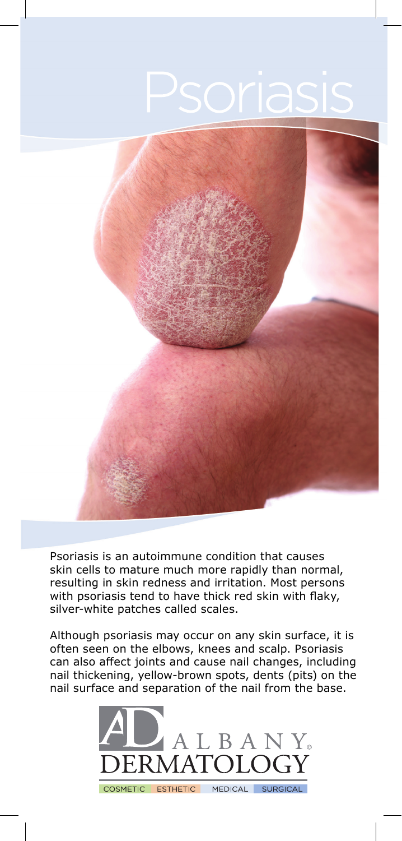

Psoriasis is an autoimmune condition that causes skin cells to mature much more rapidly than normal, resulting in skin redness and irritation. Most persons with psoriasis tend to have thick red skin with flaky, silver-white patches called scales.

Although psoriasis may occur on any skin surface, it is often seen on the elbows, knees and scalp. Psoriasis can also affect joints and cause nail changes, including nail thickening, yellow-brown spots, dents (pits) on the nail surface and separation of the nail from the base.